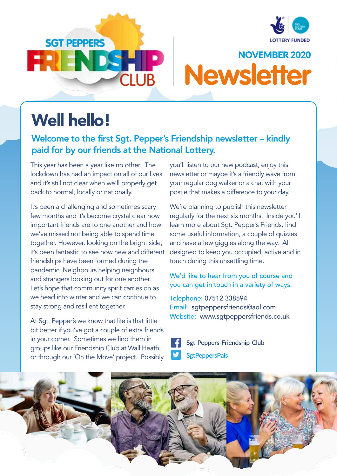





## Well hello!

### Welcome to the first Sgt. Pepper's Friendship newsletter – kindly paid for by our friends at the National Lottery.

This year has been a year like no other. The lockdown has had an impact on all of our lives and it's still not clear when we'll properly get back to normal, locally or nationally.

It's been a challenging and sometimes scary few months and it's become crystal clear how important friends are to one another and how we've missed not being able to spend time together. However, looking on the bright side, it's been fantastic to see how new and different friendships have been formed during the pandemic. Neighbours helping neighbours and strangers looking out for one another. Let's hope that community spirit carries on as we head into winter and we can continue to stay strong and resilient together.

At Sgt. Pepper's we know that life is that little bit better if you've got a couple of extra friends in your corner. Sometimes we find them in groups like our Friendship Club at Wall Heath, or through our 'On the Move' project. Possibly you'll listen to our new podcast, enjoy this newsletter or maybe it's a friendly wave from your regular dog walker or a chat with your postie that makes a difference to your day.

We're planning to publish this newsletter regularly for the next six months. Inside you'll learn more about Sgt. Pepper's Friends, find some useful information, a couple of quizzes and have a few giggles along the way. All designed to keep you occupied, active and in touch during this unsettling time.

We'd like to hear from you of course and you can get in touch in a variety of ways.

### Telephone: 07512 338594

Email: sgtpeppersfriends@aol.com Website: www.sgtpeppersfriends.co.uk

- **Sgt-Peppers-Friendship-Club**
- **SgtPeppersPals**

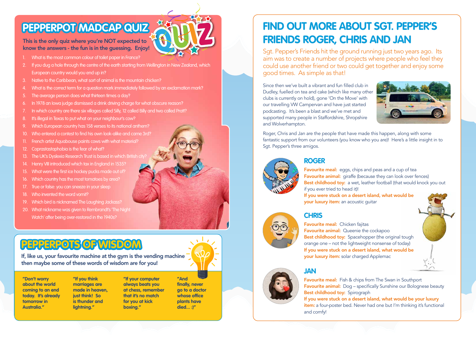### This is the only quiz where you're NOT expected to know the answers - the fun is in the guessing. Enjoy!

## **PEPPERPOT MADCAP QUIZ**

- What is the most common colour of toilet paper in France?
- 2. If you dug a hole through the centre of the earth starting from Wellington in New Zealand, which European country would you end up in?
- 3. Native to the Caribbean, what sort of animal is the mountain chicken?
- 4. What is the correct term for a question mark immediately followed by an exclamation mark?
- 5. The average person does what thirteen times a day?
- 6. In 1978 an Iowa judge dismissed a drink driving charge for what obscure reason?
- 7. In which country are there six villages called Silly, 12 called Billy and two called Pratt?
- 8. It's illegal in Texas to put what on your neighbour's cow?
- 9. Which European country has 158 verses to its national anthem?
- 10. Who entered a contest to find his own look-alike and came 3rd?
- French artist Aquabouse paints cows with what material?
- 12. Coprastastaphobia is the fear of what?
- 13. The UK's Dyslexia Research Trust is based in which British city?
- 14. Henry VIII introduced which tax in England in 1535?
- 15. What were the first ice hockey pucks made out of?
- 16. Which country has the most tomatoes by area?
- 17. True or false: you can sneeze in your sleep
- 18. Who invented the word vomit?
- 19. Which bird is nicknamed The Laughing Jackass?
- 20. What nickname was given to Rembrandt's The Night Watch' after being over-restored in the 1940s?

## **PEPPERPOTS OF WISDOM**

If, like us, your favourite machine at the gym is the vending machine then maybe some of these words of wisdom are for you!

**"Don't worry about the world coming to an end today. It's already tomorrow in Australia."**

### Favourite meal: Chicken fajitas Favourite animal: Queenie the cockapoo Best childhood toy: Spacehopper (the original tough orange one – not the lightweight nonsense of today) If you were stuck on a desert island, what would be your luxury item: solar charged Applemac

**"If you think marriages are made in heaven, just think! So is thunder and lightning."**

**Favourite meal:** Fish & chips from The Swan in Southport **Favourite animal:** Dog – specifically Sunshine our Bolognese beauty Best childhood toy: Spirograph If you were stuck on a desert island, what would be your luxury item: a four-poster bed. Never had one but I'm thinking it's functional and comfy!



**"If your computer always beats you at chess, remember that it's no match for you at kick boxing."**







**"And finally, never go to a doctor whose office plants have died... :)"** 

## **FIND OUT MORE ABOUT SGT. PEPPER'S FRIENDS ROGER, CHRIS AND JAN**

Sgt. Pepper's Friends hit the ground running just two years ago. Its aim was to create a number of projects where people who feel they could use another friend or two could get together and enjoy some good times. As simple as that!

Since then we've built a vibrant and fun filled club in Dudley, fuelled on tea and cake (which like many other clubs is currently on hold), gone 'On the Move' with our travelling VW Campervan and have just started podcasting. It's been a blast and we've met and supported many people in Staffordshire, Shropshire and Wolverhampton.

Roger, Chris and Jan are the people that have made this happen, along with some fantastic support from our volunteers (you know who you are)! Here's a little insight in to Sgt. Pepper's three amigos.



### **ROGER**

Favourite meal: eggs, chips and peas and a cup of tea Favourite animal: giraffe (because they can look over fences) Best childhood toy: a wet, leather football (that would knock you out if you ever tried to head it)! If you were stuck on a desert island, what would be your luxury item: an acoustic quitar





### **JAN**